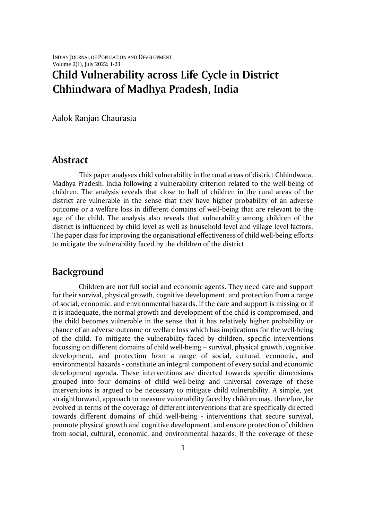# **Child Vulnerability across Life Cycle in District Chhindwara of Madhya Pradesh, India**

Aalok Ranjan Chaurasia

### **Abstract**

This paper analyses child vulnerability in the rural areas of district Chhindwara, Madhya Pradesh, India following a vulnerability criterion related to the well-being of children. The analysis reveals that close to half of children in the rural areas of the district are vulnerable in the sense that they have higher probability of an adverse outcome or a welfare loss in different domains of well-being that are relevant to the age of the child. The analysis also reveals that vulnerability among children of the district is influenced by child level as well as household level and village level factors. The paper class for improving the organisational effectiveness of child well-being efforts to mitigate the vulnerability faced by the children of the district.

# **Background**

Children are not full social and economic agents. They need care and support for their survival, physical growth, cognitive development, and protection from a range of social, economic, and environmental hazards. If the care and support is missing or if it is inadequate, the normal growth and development of the child is compromised, and the child becomes vulnerable in the sense that it has relatively higher probability or chance of an adverse outcome or welfare loss which has implications for the well-being of the child. To mitigate the vulnerability faced by children, specific interventions focussing on different domains of child well-being – survival, physical growth, cognitive development, and protection from a range of social, cultural, economic, and environmental hazards - constitute an integral component of every social and economic development agenda. These interventions are directed towards specific dimensions grouped into four domains of child well-being and universal coverage of these interventions is argued to be necessary to mitigate child vulnerability. A simple, yet straightforward, approach to measure vulnerability faced by children may, therefore, be evolved in terms of the coverage of different interventions that are specifically directed towards different domains of child well-being - interventions that secure survival, promote physical growth and cognitive development, and ensure protection of children from social, cultural, economic, and environmental hazards. If the coverage of these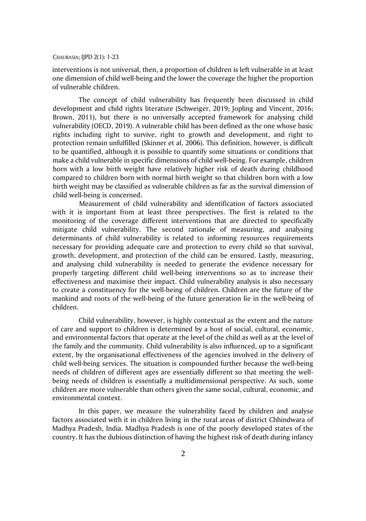interventions is not universal, then, a proportion of children is left vulnerable in at least one dimension of child well-being and the lower the coverage the higher the proportion of vulnerable children.

The concept of child vulnerability has frequently been discussed in child development and child rights literature (Schweiger, 2019; Jopling and Vincent, 2016; Brown, 2011), but there is no universally accepted framework for analysing child vulnerability (OECD, 2019). A vulnerable child has been defined as the one whose basic rights including right to survive, right to growth and development, and right to protection remain unfulfilled (Skinner et al, 2006). This definition, however, is difficult to be quantified, although it is possible to quantify some situations or conditions that make a child vulnerable in specific dimensions of child well-being. For example, children born with a low birth weight have relatively higher risk of death during childhood compared to children born with normal birth weight so that children born with a low birth weight may be classified as vulnerable children as far as the survival dimension of child well-being is concerned.

Measurement of child vulnerability and identification of factors associated with it is important from at least three perspectives. The first is related to the monitoring of the coverage different interventions that are directed to specifically mitigate child vulnerability. The second rationale of measuring, and analysing determinants of child vulnerability is related to informing resources requirements necessary for providing adequate care and protection to every child so that survival, growth, development, and protection of the child can be ensured. Lastly, measuring, and analysing child vulnerability is needed to generate the evidence necessary for properly targeting different child well-being interventions so as to increase their effectiveness and maximise their impact. Child vulnerability analysis is also necessary to create a constituency for the well-being of children. Children are the future of the mankind and roots of the well-being of the future generation lie in the well-being of children.

Child vulnerability, however, is highly contextual as the extent and the nature of care and support to children is determined by a host of social, cultural, economic, and environmental factors that operate at the level of the child as well as at the level of the family and the community. Child vulnerability is also influenced, up to a significant extent, by the organisational effectiveness of the agencies involved in the delivery of child well-being services. The situation is compounded further because the well-being needs of children of different ages are essentially different so that meeting the wellbeing needs of children is essentially a multidimensional perspective. As such, some children are more vulnerable than others given the same social, cultural, economic, and environmental context.

In this paper, we measure the vulnerability faced by children and analyse factors associated with it in children living in the rural areas of district Chhindwara of Madhya Pradesh, India. Madhya Pradesh is one of the poorly developed states of the country. It has the dubious distinction of having the highest risk of death during infancy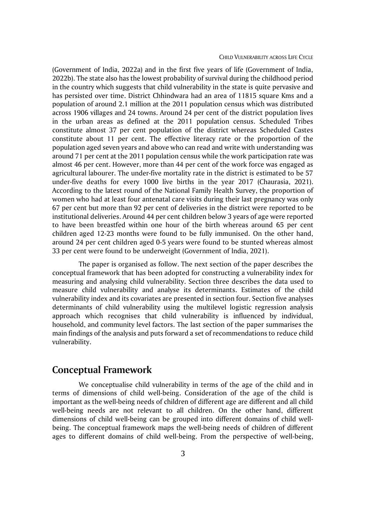(Government of India, 2022a) and in the first five years of life (Government of India, 2022b). The state also has the lowest probability of survival during the childhood period in the country which suggests that child vulnerability in the state is quite pervasive and has persisted over time. District Chhindwara had an area of 11815 square Kms and a population of around 2.1 million at the 2011 population census which was distributed across 1906 villages and 24 towns. Around 24 per cent of the district population lives in the urban areas as defined at the 2011 population census. Scheduled Tribes constitute almost 37 per cent population of the district whereas Scheduled Castes constitute about 11 per cent. The effective literacy rate or the proportion of the population aged seven years and above who can read and write with understanding was around 71 per cent at the 2011 population census while the work participation rate was almost 46 per cent. However, more than 44 per cent of the work force was engaged as agricultural labourer. The under-five mortality rate in the district is estimated to be 57 under-five deaths for every 1000 live births in the year 2017 (Chaurasia, 2021). According to the latest round of the National Family Health Survey, the proportion of women who had at least four antenatal care visits during their last pregnancy was only 67 per cent but more than 92 per cent of deliveries in the district were reported to be institutional deliveries. Around 44 per cent children below 3 years of age were reported to have been breastfed within one hour of the birth whereas around 65 per cent children aged 12-23 months were found to be fully immunised. On the other hand, around 24 per cent children aged 0-5 years were found to be stunted whereas almost 33 per cent were found to be underweight (Government of India, 2021).

The paper is organised as follow. The next section of the paper describes the conceptual framework that has been adopted for constructing a vulnerability index for measuring and analysing child vulnerability. Section three describes the data used to measure child vulnerability and analyse its determinants. Estimates of the child vulnerability index and its covariates are presented in section four. Section five analyses determinants of child vulnerability using the multilevel logistic regression analysis approach which recognises that child vulnerability is influenced by individual, household, and community level factors. The last section of the paper summarises the main findings of the analysis and puts forward a set of recommendations to reduce child vulnerability.

## **Conceptual Framework**

We conceptualise child vulnerability in terms of the age of the child and in terms of dimensions of child well-being. Consideration of the age of the child is important as the well-being needs of children of different age are different and all child well-being needs are not relevant to all children. On the other hand, different dimensions of child well-being can be grouped into different domains of child wellbeing. The conceptual framework maps the well-being needs of children of different ages to different domains of child well-being. From the perspective of well-being,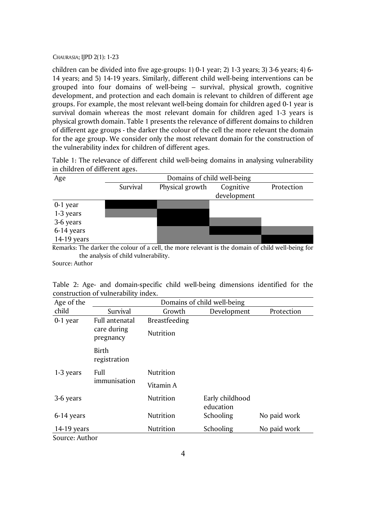children can be divided into five age-groups: 1) 0-1 year; 2) 1-3 years; 3) 3-6 years; 4) 6- 14 years; and 5) 14-19 years. Similarly, different child well-being interventions can be grouped into four domains of well-being – survival, physical growth, cognitive development, and protection and each domain is relevant to children of different age groups. For example, the most relevant well-being domain for children aged 0-1 year is survival domain whereas the most relevant domain for children aged 1-3 years is physical growth domain. Table 1 presents the relevance of different domains to children of different age groups - the darker the colour of the cell the more relevant the domain for the age group. We consider only the most relevant domain for the construction of the vulnerability index for children of different ages.

Table 1: The relevance of different child well-being domains in analysing vulnerability in children of different ages.

| Age         | Domains of child well-being |                 |             |            |  |  |  |
|-------------|-----------------------------|-----------------|-------------|------------|--|--|--|
|             | Survival                    | Physical growth | Cognitive   | Protection |  |  |  |
|             |                             |                 | development |            |  |  |  |
| $0-1$ year  |                             |                 |             |            |  |  |  |
| 1-3 years   |                             |                 |             |            |  |  |  |
| 3-6 years   |                             |                 |             |            |  |  |  |
| 6-14 years  |                             |                 |             |            |  |  |  |
| 14-19 years |                             |                 |             |            |  |  |  |

Remarks: The darker the colour of a cell, the more relevant is the domain of child well-being for the analysis of child vulnerability.

Source: Author

Table 2: Age- and domain-specific child well-being dimensions identified for the construction of vulnerability index.

| Age of the           | Domains of child well-being |               |                              |              |  |  |
|----------------------|-----------------------------|---------------|------------------------------|--------------|--|--|
| child                | Survival                    | Growth        | Development                  | Protection   |  |  |
| 0-1 year             | Full antenatal              | Breastfeeding |                              |              |  |  |
|                      | care during<br>pregnancy    | Nutrition     |                              |              |  |  |
|                      | Birth<br>registration       |               |                              |              |  |  |
| 1-3 years            | Full                        | Nutrition     |                              |              |  |  |
|                      | immunisation                | Vitamin A     |                              |              |  |  |
| 3-6 years            |                             | Nutrition     | Early childhood<br>education |              |  |  |
| 6-14 years           |                             | Nutrition     | Schooling                    | No paid work |  |  |
| $14-19$ years        |                             | Nutrition     | Schooling                    | No paid work |  |  |
| $SOMICA$ , $AU$ thor |                             |               |                              |              |  |  |

Source: Author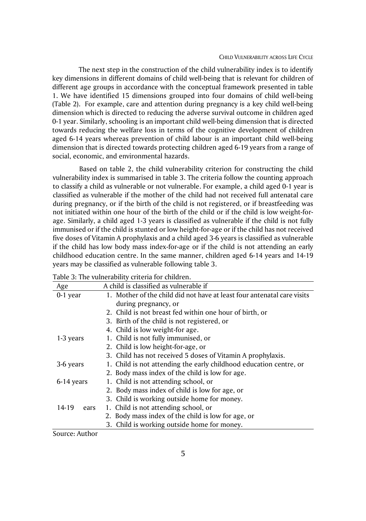#### CHILD VULNERABILITY ACROSS LIFE CYCLE

The next step in the construction of the child vulnerability index is to identify key dimensions in different domains of child well-being that is relevant for children of different age groups in accordance with the conceptual framework presented in table 1. We have identified 15 dimensions grouped into four domains of child well-being (Table 2). For example, care and attention during pregnancy is a key child well-being dimension which is directed to reducing the adverse survival outcome in children aged 0-1 year. Similarly, schooling is an important child well-being dimension that is directed towards reducing the welfare loss in terms of the cognitive development of children aged 6-14 years whereas prevention of child labour is an important child well-being dimension that is directed towards protecting children aged 6-19 years from a range of social, economic, and environmental hazards.

Based on table 2, the child vulnerability criterion for constructing the child vulnerability index is summarised in table 3. The criteria follow the counting approach to classify a child as vulnerable or not vulnerable. For example, a child aged 0-1 year is classified as vulnerable if the mother of the child had not received full antenatal care during pregnancy, or if the birth of the child is not registered, or if breastfeeding was not initiated within one hour of the birth of the child or if the child is low weight-forage. Similarly, a child aged 1-3 years is classified as vulnerable if the child is not fully immunised or if the child is stunted or low height-for-age or if the child has not received five doses of Vitamin A prophylaxis and a child aged 3-6 years is classified as vulnerable if the child has low body mass index-for-age or if the child is not attending an early childhood education centre. In the same manner, children aged 6-14 years and 14-19 years may be classified as vulnerable following table 3.

|               | .c or ruce vanital ability criteria for children                        |  |  |  |  |  |
|---------------|-------------------------------------------------------------------------|--|--|--|--|--|
| Age           | A child is classified as vulnerable if                                  |  |  |  |  |  |
| $0-1$ year    | 1. Mother of the child did not have at least four antenatal care visits |  |  |  |  |  |
|               | during pregnancy, or                                                    |  |  |  |  |  |
|               | 2. Child is not breast fed within one hour of birth, or                 |  |  |  |  |  |
|               | 3. Birth of the child is not registered, or                             |  |  |  |  |  |
|               | 4. Child is low weight-for age.                                         |  |  |  |  |  |
| 1-3 years     | 1. Child is not fully immunised, or                                     |  |  |  |  |  |
|               | 2. Child is low height-for-age, or                                      |  |  |  |  |  |
|               | 3. Child has not received 5 doses of Vitamin A prophylaxis.             |  |  |  |  |  |
| 3-6 years     | 1. Child is not attending the early childhood education centre, or      |  |  |  |  |  |
|               | 2. Body mass index of the child is low for age.                         |  |  |  |  |  |
| 6-14 years    | 1. Child is not attending school, or                                    |  |  |  |  |  |
|               | 2. Body mass index of child is low for age, or                          |  |  |  |  |  |
|               | 3. Child is working outside home for money.                             |  |  |  |  |  |
| 14-19<br>ears | 1. Child is not attending school, or                                    |  |  |  |  |  |
|               | 2. Body mass index of the child is low for age, or                      |  |  |  |  |  |
|               | 3. Child is working outside home for money.                             |  |  |  |  |  |

Table 3: The vulnerability criteria for children.

Source: Author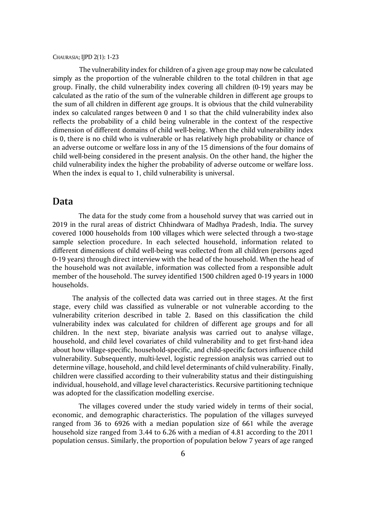The vulnerability index for children of a given age group may now be calculated simply as the proportion of the vulnerable children to the total children in that age group. Finally, the child vulnerability index covering all children (0-19) years may be calculated as the ratio of the sum of the vulnerable children in different age groups to the sum of all children in different age groups. It is obvious that the child vulnerability index so calculated ranges between 0 and 1 so that the child vulnerability index also reflects the probability of a child being vulnerable in the context of the respective dimension of different domains of child well-being. When the child vulnerability index is 0, there is no child who is vulnerable or has relatively high probability or chance of an adverse outcome or welfare loss in any of the 15 dimensions of the four domains of child well-being considered in the present analysis. On the other hand, the higher the child vulnerability index the higher the probability of adverse outcome or welfare loss. When the index is equal to 1, child vulnerability is universal.

### **Data**

The data for the study come from a household survey that was carried out in 2019 in the rural areas of district Chhindwara of Madhya Pradesh, India. The survey covered 1000 households from 100 villages which were selected through a two-stage sample selection procedure. In each selected household, information related to different dimensions of child well-being was collected from all children (persons aged 0-19 years) through direct interview with the head of the household. When the head of the household was not available, information was collected from a responsible adult member of the household. The survey identified 1500 children aged 0-19 years in 1000 households.

The analysis of the collected data was carried out in three stages. At the first stage, every child was classified as vulnerable or not vulnerable according to the vulnerability criterion described in table 2. Based on this classification the child vulnerability index was calculated for children of different age groups and for all children. In the next step, bivariate analysis was carried out to analyse village, household, and child level covariates of child vulnerability and to get first-hand idea about how village-specific, household-specific, and child-specific factors influence child vulnerability. Subsequently, multi-level, logistic regression analysis was carried out to determine village, household, and child level determinants of child vulnerability. Finally, children were classified according to their vulnerability status and their distinguishing individual, household, and village level characteristics. Recursive partitioning technique was adopted for the classification modelling exercise.

The villages covered under the study varied widely in terms of their social, economic, and demographic characteristics. The population of the villages surveyed ranged from 36 to 6926 with a median population size of 661 while the average household size ranged from 3.44 to 6.26 with a median of 4.81 according to the 2011 population census. Similarly, the proportion of population below 7 years of age ranged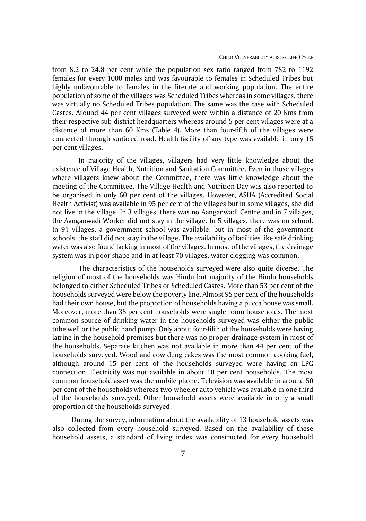from 8.2 to 24.8 per cent while the population sex ratio ranged from 782 to 1192 females for every 1000 males and was favourable to females in Scheduled Tribes but highly unfavourable to females in the literate and working population. The entire population of some of the villages was Scheduled Tribes whereas in some villages, there was virtually no Scheduled Tribes population. The same was the case with Scheduled Castes. Around 44 per cent villages surveyed were within a distance of 20 Kms from their respective sub-district headquarters whereas around 5 per cent villages were at a distance of more than 60 Kms (Table 4). More than four-fifth of the villages were connected through surfaced road. Health facility of any type was available in only 15 per cent villages.

In majority of the villages, villagers had very little knowledge about the existence of Village Health, Nutrition and Sanitation Committee. Even in those villages where villagers knew about the Committee, there was little knowledge about the meeting of the Committee. The Village Health and Nutrition Day was also reported to be organised in only 60 per cent of the villages. However, ASHA (Accredited Social Health Activist) was available in 95 per cent of the villages but in some villages, she did not live in the village. In 3 villages, there was no Aanganwadi Centre and in 7 villages, the Aanganwadi Worker did not stay in the village. In 5 villages, there was no school. In 91 villages, a government school was available, but in most of the government schools, the staff did not stay in the village. The availability of facilities like safe drinking water was also found lacking in most of the villages. In most of the villages, the drainage system was in poor shape and in at least 70 villages, water clogging was common.

The characteristics of the households surveyed were also quite diverse. The religion of most of the households was Hindu but majority of the Hindu households belonged to either Scheduled Tribes or Scheduled Castes. More than 53 per cent of the households surveyed were below the poverty line. Almost 95 per cent of the households had their own house, but the proportion of households having a pucca house was small. Moreover, more than 38 per cent households were single room households. The most common source of drinking water in the households surveyed was either the public tube well or the public hand pump. Only about four-fifth of the households were having latrine in the household premises but there was no proper drainage system in most of the households. Separate kitchen was not available in more than 44 per cent of the households surveyed. Wood and cow dung cakes was the most common cooking fuel, although around 15 per cent of the households surveyed were having an LPG connection. Electricity was not available in about 10 per cent households. The most common household asset was the mobile phone. Television was available in around 50 per cent of the households whereas two-wheeler auto vehicle was available in one third of the households surveyed. Other household assets were available in only a small proportion of the households surveyed.

During the survey, information about the availability of 13 household assets was also collected from every household surveyed. Based on the availability of these household assets, a standard of living index was constructed for every household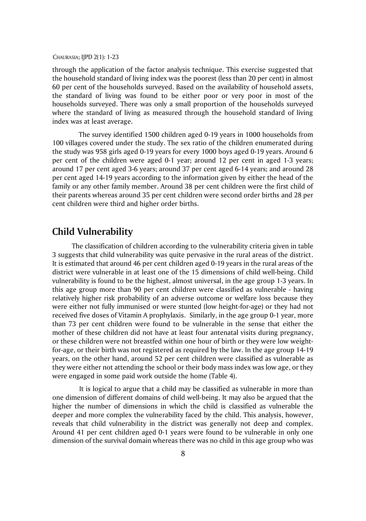through the application of the factor analysis technique. This exercise suggested that the household standard of living index was the poorest (less than 20 per cent) in almost 60 per cent of the households surveyed. Based on the availability of household assets, the standard of living was found to be either poor or very poor in most of the households surveyed. There was only a small proportion of the households surveyed where the standard of living as measured through the household standard of living index was at least average.

The survey identified 1500 children aged 0-19 years in 1000 households from 100 villages covered under the study. The sex ratio of the children enumerated during the study was 958 girls aged 0-19 years for every 1000 boys aged 0-19 years. Around 6 per cent of the children were aged 0-1 year; around 12 per cent in aged 1-3 years; around 17 per cent aged 3-6 years; around 37 per cent aged 6-14 years; and around 28 per cent aged 14-19 years according to the information given by either the head of the family or any other family member. Around 38 per cent children were the first child of their parents whereas around 35 per cent children were second order births and 28 per cent children were third and higher order births.

# **Child Vulnerability**

The classification of children according to the vulnerability criteria given in table 3 suggests that child vulnerability was quite pervasive in the rural areas of the district. It is estimated that around 46 per cent children aged 0-19 years in the rural areas of the district were vulnerable in at least one of the 15 dimensions of child well-being. Child vulnerability is found to be the highest, almost universal, in the age group 1-3 years. In this age group more than 90 per cent children were classified as vulnerable - having relatively higher risk probability of an adverse outcome or welfare loss because they were either not fully immunised or were stunted (low height-for-age) or they had not received five doses of Vitamin A prophylaxis. Similarly, in the age group 0-1 year, more than 73 per cent children were found to be vulnerable in the sense that either the mother of these children did not have at least four antenatal visits during pregnancy, or these children were not breastfed within one hour of birth or they were low weightfor-age, or their birth was not registered as required by the law. In the age group 14-19 years, on the other hand, around 52 per cent children were classified as vulnerable as they were either not attending the school or their body mass index was low age, or they were engaged in some paid work outside the home (Table 4).

It is logical to argue that a child may be classified as vulnerable in more than one dimension of different domains of child well-being. It may also be argued that the higher the number of dimensions in which the child is classified as vulnerable the deeper and more complex the vulnerability faced by the child. This analysis, however, reveals that child vulnerability in the district was generally not deep and complex. Around 41 per cent children aged 0-1 years were found to be vulnerable in only one dimension of the survival domain whereas there was no child in this age group who was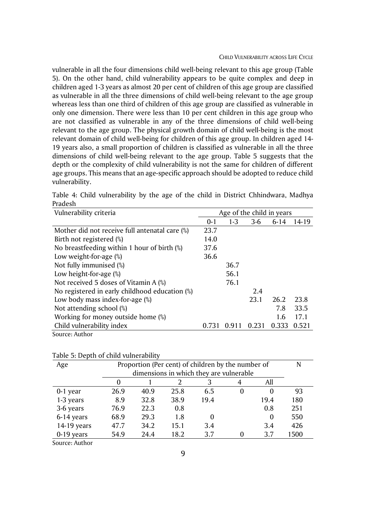vulnerable in all the four dimensions child well-being relevant to this age group (Table 5). On the other hand, child vulnerability appears to be quite complex and deep in children aged 1-3 years as almost 20 per cent of children of this age group are classified as vulnerable in all the three dimensions of child well-being relevant to the age group whereas less than one third of children of this age group are classified as vulnerable in only one dimension. There were less than 10 per cent children in this age group who are not classified as vulnerable in any of the three dimensions of child well-being relevant to the age group. The physical growth domain of child well-being is the most relevant domain of child well-being for children of this age group. In children aged 14- 19 years also, a small proportion of children is classified as vulnerable in all the three dimensions of child well-being relevant to the age group. Table 5 suggests that the depth or the complexity of child vulnerability is not the same for children of different age groups. This means that an age-specific approach should be adopted to reduce child vulnerability.

| Vulnerability criteria                          | Age of the child in years |       |       |          |       |
|-------------------------------------------------|---------------------------|-------|-------|----------|-------|
|                                                 | $0 - 1$                   | $1-3$ | $3-6$ | $6 - 14$ | 14-19 |
| Mother did not receive full antenatal care $\%$ | 23.7                      |       |       |          |       |
| Birth not registered (%)                        | 14.0                      |       |       |          |       |
| No breastfeeding within 1 hour of birth $\%$ )  | 37.6                      |       |       |          |       |
| Low weight-for-age $(\%)$                       | 36.6                      |       |       |          |       |
| Not fully immunised (%)                         |                           | 36.7  |       |          |       |
| Low height-for-age $(\%)$                       |                           | 56.1  |       |          |       |
| Not received 5 doses of Vitamin A $(\%)$        |                           | 76.1  |       |          |       |
| No registered in early childhood education (%)  |                           |       | 2.4   |          |       |
| Low body mass index-for-age (%)                 |                           |       | 23.1  | 26.2     | 23.8  |
| Not attending school (%)                        |                           |       |       | 7.8      | 33.5  |
| Working for money outside home (%)              |                           |       |       | 1.6      | 17.1  |
| Child vulnerability index                       | 0.731                     | 0.911 | 0.231 | 0.333    | 0.521 |
| Source: Author                                  |                           |       |       |          |       |

Table 4: Child vulnerability by the age of the child in District Chhindwara, Madhya Pradesh

Table 5: Depth of child vulnerability

| Age          | Proportion (Per cent) of children by the number of |                                         |      |      |   |      |      |  |
|--------------|----------------------------------------------------|-----------------------------------------|------|------|---|------|------|--|
|              |                                                    | dimensions in which they are vulnerable |      |      |   |      |      |  |
|              |                                                    |                                         |      |      |   | All  |      |  |
| 0-1 year     | 26.9                                               | 40.9                                    | 25.8 | 6.5  | 0 | 0    | 93   |  |
| 1-3 years    | 8.9                                                | 32.8                                    | 38.9 | 19.4 |   | 19.4 | 180  |  |
| 3-6 years    | 76.9                                               | 22.3                                    | 0.8  |      |   | 0.8  | 251  |  |
| 6-14 years   | 68.9                                               | 29.3                                    | 1.8  | 0    |   | 0    | 550  |  |
| 14-19 years  | 47.7                                               | 34.2                                    | 15.1 | 3.4  |   | 3.4  | 426  |  |
| $0-19$ years | 54.9                                               | 24.4                                    | 18.2 | 3.7  |   | 3.7  | 1500 |  |

Source: Author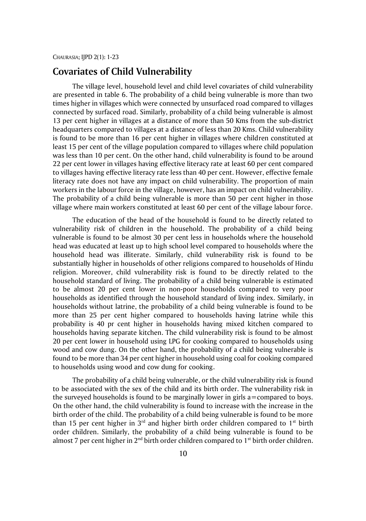# **Covariates of Child Vulnerability**

The village level, household level and child level covariates of child vulnerability are presented in table 6. The probability of a child being vulnerable is more than two times higher in villages which were connected by unsurfaced road compared to villages connected by surfaced road. Similarly, probability of a child being vulnerable is almost 13 per cent higher in villages at a distance of more than 50 Kms from the sub-district headquarters compared to villages at a distance of less than 20 Kms. Child vulnerability is found to be more than 16 per cent higher in villages where children constituted at least 15 per cent of the village population compared to villages where child population was less than 10 per cent. On the other hand, child vulnerability is found to be around 22 per cent lower in villages having effective literacy rate at least 60 per cent compared to villages having effective literacy rate less than 40 per cent. However, effective female literacy rate does not have any impact on child vulnerability. The proportion of main workers in the labour force in the village, however, has an impact on child vulnerability. The probability of a child being vulnerable is more than 50 per cent higher in those village where main workers constituted at least 60 per cent of the village labour force.

The education of the head of the household is found to be directly related to vulnerability risk of children in the household. The probability of a child being vulnerable is found to be almost 30 per cent less in households where the household head was educated at least up to high school level compared to households where the household head was illiterate. Similarly, child vulnerability risk is found to be substantially higher in households of other religions compared to households of Hindu religion. Moreover, child vulnerability risk is found to be directly related to the household standard of living. The probability of a child being vulnerable is estimated to be almost 20 per cent lower in non-poor households compared to very poor households as identified through the household standard of living index. Similarly, in households without latrine, the probability of a child being vulnerable is found to be more than 25 per cent higher compared to households having latrine while this probability is 40 pr cent higher in households having mixed kitchen compared to households having separate kitchen. The child vulnerability risk is found to be almost 20 per cent lower in household using LPG for cooking compared to households using wood and cow dung. On the other hand, the probability of a child being vulnerable is found to be more than 34 per cent higher in household using coal for cooking compared to households using wood and cow dung for cooking.

The probability of a child being vulnerable, or the child vulnerability risk is found to be associated with the sex of the child and its birth order. The vulnerability risk in the surveyed households is found to be marginally lower in girls a=compared to boys. On the other hand, the child vulnerability is found to increase with the increase in the birth order of the child. The probability of a child being vulnerable is found to be more than 15 per cent higher in  $3<sup>rd</sup>$  and higher birth order children compared to 1<sup>st</sup> birth order children. Similarly, the probability of a child being vulnerable is found to be almost 7 per cent higher in  $2^{nd}$  birth order children compared to 1<sup>st</sup> birth order children.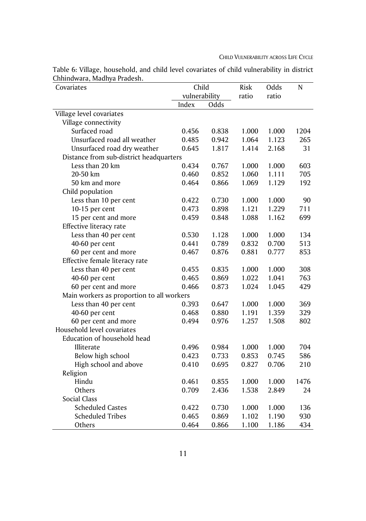| Covariates                                | Child         |       | Risk  | Odds  | $\mathsf{N}$ |
|-------------------------------------------|---------------|-------|-------|-------|--------------|
|                                           | vulnerability |       | ratio | ratio |              |
|                                           | Index         | Odds  |       |       |              |
| Village level covariates                  |               |       |       |       |              |
| Village connectivity                      |               |       |       |       |              |
| Surfaced road                             | 0.456         | 0.838 | 1.000 | 1.000 | 1204         |
| Unsurfaced road all weather               | 0.485         | 0.942 | 1.064 | 1.123 | 265          |
| Unsurfaced road dry weather               | 0.645         | 1.817 | 1.414 | 2.168 | 31           |
| Distance from sub-district headquarters   |               |       |       |       |              |
| Less than 20 km                           | 0.434         | 0.767 | 1.000 | 1.000 | 603          |
| 20-50 km                                  | 0.460         | 0.852 | 1.060 | 1.111 | 705          |
| 50 km and more                            | 0.464         | 0.866 | 1.069 | 1.129 | 192          |
| Child population                          |               |       |       |       |              |
| Less than 10 per cent                     | 0.422         | 0.730 | 1.000 | 1.000 | 90           |
| 10-15 per cent                            | 0.473         | 0.898 | 1.121 | 1.229 | 711          |
| 15 per cent and more                      | 0.459         | 0.848 | 1.088 | 1.162 | 699          |
| Effective literacy rate                   |               |       |       |       |              |
| Less than 40 per cent                     | 0.530         | 1.128 | 1.000 | 1.000 | 134          |
| 40-60 per cent                            | 0.441         | 0.789 | 0.832 | 0.700 | 513          |
| 60 per cent and more                      | 0.467         | 0.876 | 0.881 | 0.777 | 853          |
| Effective female literacy rate            |               |       |       |       |              |
| Less than 40 per cent                     | 0.455         | 0.835 | 1.000 | 1.000 | 308          |
| 40-60 per cent                            | 0.465         | 0.869 | 1.022 | 1.041 | 763          |
| 60 per cent and more                      | 0.466         | 0.873 | 1.024 | 1.045 | 429          |
| Main workers as proportion to all workers |               |       |       |       |              |
| Less than 40 per cent                     | 0.393         | 0.647 | 1.000 | 1.000 | 369          |
| 40-60 per cent                            | 0.468         | 0.880 | 1.191 | 1.359 | 329          |
| 60 per cent and more                      | 0.494         | 0.976 | 1.257 | 1.508 | 802          |
| Household level covariates                |               |       |       |       |              |
| Education of household head               |               |       |       |       |              |
| Illiterate                                | 0.496         | 0.984 | 1.000 | 1.000 | 704          |
| Below high school                         | 0.423         | 0.733 | 0.853 | 0.745 | 586          |
| High school and above                     | 0.410         | 0.695 | 0.827 | 0.706 | 210          |
| Religion                                  |               |       |       |       |              |
| Hindu                                     | 0.461         | 0.855 | 1.000 | 1.000 | 1476         |
| Others                                    | 0.709         | 2.436 | 1.538 | 2.849 | 24           |
| <b>Social Class</b>                       |               |       |       |       |              |
| <b>Scheduled Castes</b>                   | 0.422         | 0.730 | 1.000 | 1.000 | 136          |
| <b>Scheduled Tribes</b>                   | 0.465         | 0.869 | 1.102 | 1.190 | 930          |
| Others                                    | 0.464         | 0.866 | 1.100 | 1.186 | 434          |

Table 6: Village, household, and child level covariates of child vulnerability in district Chhindwara, Madhya Pradesh.  $\mathbb{R}^2$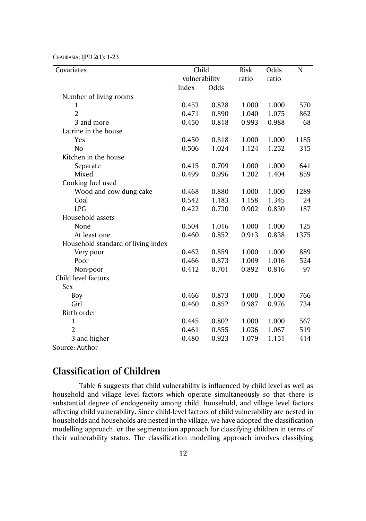CHAURASIA; IJPD 2(1): 1-23

| Covariates                         | Child         |       | Risk  | Odds  | N    |
|------------------------------------|---------------|-------|-------|-------|------|
|                                    | vulnerability |       | ratio | ratio |      |
|                                    | Index         | Odds  |       |       |      |
| Number of living rooms             |               |       |       |       |      |
| 1                                  | 0.453         | 0.828 | 1.000 | 1.000 | 570  |
| $\overline{2}$                     | 0.471         | 0.890 | 1.040 | 1.075 | 862  |
| 3 and more                         | 0.450         | 0.818 | 0.993 | 0.988 | 68   |
| Latrine in the house               |               |       |       |       |      |
| Yes                                | 0.450         | 0.818 | 1.000 | 1.000 | 1185 |
| N <sub>o</sub>                     | 0.506         | 1.024 | 1.124 | 1.252 | 315  |
| Kitchen in the house               |               |       |       |       |      |
| Separate                           | 0.415         | 0.709 | 1.000 | 1.000 | 641  |
| Mixed                              | 0.499         | 0.996 | 1.202 | 1.404 | 859  |
| Cooking fuel used                  |               |       |       |       |      |
| Wood and cow dung cake             | 0.468         | 0.880 | 1.000 | 1.000 | 1289 |
| Coal                               | 0.542         | 1.183 | 1.158 | 1.345 | 24   |
| <b>LPG</b>                         | 0.422         | 0.730 | 0.902 | 0.830 | 187  |
| Household assets                   |               |       |       |       |      |
| None                               | 0.504         | 1.016 | 1.000 | 1.000 | 125  |
| At least one                       | 0.460         | 0.852 | 0.913 | 0.838 | 1375 |
| Household standard of living index |               |       |       |       |      |
| Very poor                          | 0.462         | 0.859 | 1.000 | 1.000 | 889  |
| Poor                               | 0.466         | 0.873 | 1.009 | 1.016 | 524  |
| Non-poor                           | 0.412         | 0.701 | 0.892 | 0.816 | 97   |
| Child level factors                |               |       |       |       |      |
| Sex                                |               |       |       |       |      |
| Boy                                | 0.466         | 0.873 | 1.000 | 1.000 | 766  |
| Girl                               | 0.460         | 0.852 | 0.987 | 0.976 | 734  |
| Birth order                        |               |       |       |       |      |
| 1                                  | 0.445         | 0.802 | 1.000 | 1.000 | 567  |
| $\overline{2}$                     | 0.461         | 0.855 | 1.036 | 1.067 | 519  |
| 3 and higher                       | 0.480         | 0.923 | 1.079 | 1.151 | 414  |

Source: Author

## **Classification of Children**

Table 6 suggests that child vulnerability is influenced by child level as well as household and village level factors which operate simultaneously so that there is substantial degree of endogeneity among child, household, and village level factors affecting child vulnerability. Since child-level factors of child vulnerability are nested in households and households are nested in the village, we have adopted the classification modelling approach, or the segmentation approach for classifying children in terms of their vulnerability status. The classification modelling approach involves classifying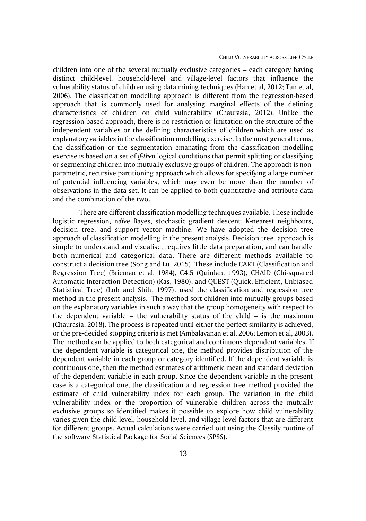#### CHILD VULNERABILITY ACROSS LIFE CYCLE

children into one of the several mutually exclusive categories – each category having distinct child-level, household-level and village-level factors that influence the vulnerability status of children using data mining techniques (Han et al, 2012; Tan et al, 2006). The classification modelling approach is different from the regression-based approach that is commonly used for analysing marginal effects of the defining characteristics of children on child vulnerability (Chaurasia, 2012). Unlike the regression-based approach, there is no restriction or limitation on the structure of the independent variables or the defining characteristics of children which are used as explanatory variables in the classification modelling exercise. In the most general terms, the classification or the segmentation emanating from the classification modelling exercise is based on a set of *if-then* logical conditions that permit splitting or classifying or segmenting children into mutually exclusive groups of children. The approach is nonparametric, recursive partitioning approach which allows for specifying a large number of potential influencing variables, which may even be more than the number of observations in the data set. It can be applied to both quantitative and attribute data and the combination of the two.

There are different classification modelling techniques available. These include logistic regression, naïve Bayes, stochastic gradient descent, K-nearest neighbours, decision tree, and support vector machine. We have adopted the decision tree approach of classification modelling in the present analysis. [Decision tree](https://analyticsindiamag.com/hands-on-tutorial-how-to-use-decision-tree-regression-to-solve-machinehacks-new-data-science-hackathon/) approach is simple to understand and visualise, requires little data preparation, and can handle both numerical and categorical data. There are different methods available to construct a decision tree (Song and Lu, 2015). These include CART (Classification and Regression Tree) (Brieman et al, 1984), C4.5 (Quinlan, 1993), CHAID (Chi-squared Automatic Interaction Detection) (Kas, 1980), and QUEST (Quick, Efficient, Unbiased Statistical Tree) (Loh and Shih, 1997). used the classification and regression tree method in the present analysis. The method sort children into mutually groups based on the explanatory variables in such a way that the group homogeneity with respect to the dependent variable  $-$  the vulnerability status of the child  $-$  is the maximum (Chaurasia, 2018). The process is repeated until either the perfect similarity is achieved, or the pre-decided stopping criteria is met (Ambalavanan et al, 2006; Lemon et al, 2003). The method can be applied to both categorical and continuous dependent variables. If the dependent variable is categorical one, the method provides distribution of the dependent variable in each group or category identified. If the dependent variable is continuous one, then the method estimates of arithmetic mean and standard deviation of the dependent variable in each group. Since the dependent variable in the present case is a categorical one, the classification and regression tree method provided the estimate of child vulnerability index for each group. The variation in the child vulnerability index or the proportion of vulnerable children across the mutually exclusive groups so identified makes it possible to explore how child vulnerability varies given the child-level, household-level, and village-level factors that are different for different groups. Actual calculations were carried out using the Classify routine of the software Statistical Package for Social Sciences (SPSS).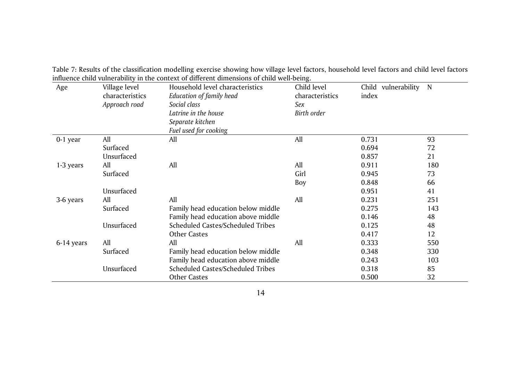| Age        | Village level   | Household level characteristics    | Child level     | Child vulnerability | N   |
|------------|-----------------|------------------------------------|-----------------|---------------------|-----|
|            | characteristics | Education of family head           | characteristics | index               |     |
|            | Approach road   | Social class                       | Sex             |                     |     |
|            |                 | Latrine in the house               | Birth order     |                     |     |
|            |                 | Separate kitchen                   |                 |                     |     |
|            |                 | Fuel used for cooking              |                 |                     |     |
| $0-1$ year | All             | All                                | All             | 0.731               | 93  |
|            | Surfaced        |                                    |                 | 0.694               | 72  |
|            | Unsurfaced      |                                    |                 | 0.857               | 21  |
| 1-3 years  | All             | All                                | All             | 0.911               | 180 |
|            | Surfaced        |                                    | Girl            | 0.945               | 73  |
|            |                 |                                    | Boy             | 0.848               | 66  |
|            | Unsurfaced      |                                    |                 | 0.951               | 41  |
| 3-6 years  | All             | All                                | All             | 0.231               | 251 |
|            | Surfaced        | Family head education below middle |                 | 0.275               | 143 |
|            |                 | Family head education above middle |                 | 0.146               | 48  |
|            | Unsurfaced      | Scheduled Castes/Scheduled Tribes  |                 | 0.125               | 48  |
|            |                 | <b>Other Castes</b>                |                 | 0.417               | 12  |
| 6-14 years | All             | All                                | All             | 0.333               | 550 |
|            | Surfaced        | Family head education below middle |                 | 0.348               | 330 |
|            |                 | Family head education above middle |                 | 0.243               | 103 |
|            | Unsurfaced      | Scheduled Castes/Scheduled Tribes  |                 | 0.318               | 85  |
|            |                 | <b>Other Castes</b>                |                 | 0.500               | 32  |

Table 7: Results of the classification modelling exercise showing how village level factors, household level factors and child level factors influence child vulnerability in the context of different dimensions of child well-being.

14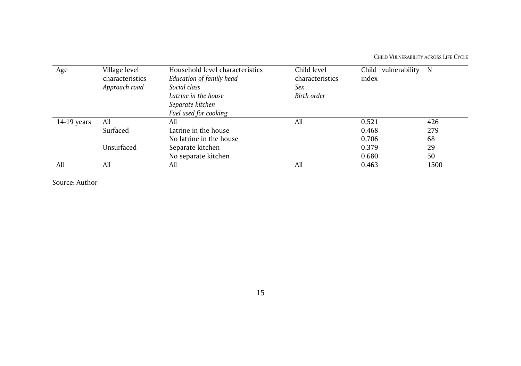CHILD VULNERABILITY ACROSS LIFE CYCLE

| Age         | Village level<br>characteristics | Household level characteristics<br>Education of family head | Child level<br>characteristics | Child vulnerability<br>index | N    |
|-------------|----------------------------------|-------------------------------------------------------------|--------------------------------|------------------------------|------|
|             | Approach road                    | Social class                                                | Sex                            |                              |      |
|             |                                  | Latrine in the house                                        | Birth order                    |                              |      |
|             |                                  | Separate kitchen                                            |                                |                              |      |
|             |                                  | Fuel used for cooking                                       |                                |                              |      |
| 14-19 years | All                              | All                                                         | All                            | 0.521                        | 426  |
|             | Surfaced                         | Latrine in the house                                        |                                | 0.468                        | 279  |
|             |                                  | No latrine in the house                                     |                                | 0.706                        | 68   |
|             | Unsurfaced                       | Separate kitchen                                            |                                | 0.379                        | 29   |
|             |                                  | No separate kitchen                                         |                                | 0.680                        | 50   |
| All         | All                              | All                                                         | All                            | 0.463                        | 1500 |
|             |                                  |                                                             |                                |                              |      |

Source: Author

15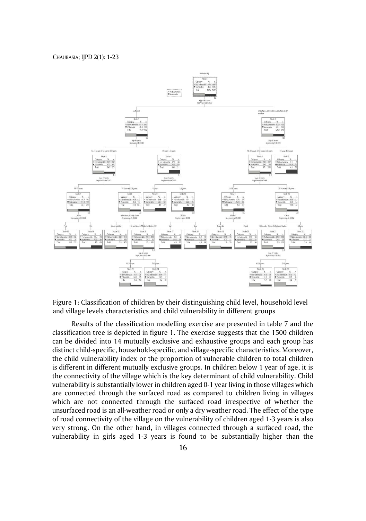

Figure 1: Classification of children by their distinguishing child level, household level and village levels characteristics and child vulnerability in different groups

Results of the classification modelling exercise are presented in table 7 and the classification tree is depicted in figure 1. The exercise suggests that the 1500 children can be divided into 14 mutually exclusive and exhaustive groups and each group has distinct child-specific, household-specific, and village-specific characteristics. Moreover, the child vulnerability index or the proportion of vulnerable children to total children is different in different mutually exclusive groups. In children below 1 year of age, it is the connectivity of the village which is the key determinant of child vulnerability. Child vulnerability is substantially lower in children aged 0-1 year living in those villages which are connected through the surfaced road as compared to children living in villages which are not connected through the surfaced road irrespective of whether the unsurfaced road is an all-weather road or only a dry weather road. The effect of the type of road connectivity of the village on the vulnerability of children aged 1-3 years is also very strong. On the other hand, in villages connected through a surfaced road, the vulnerability in girls aged 1-3 years is found to be substantially higher than the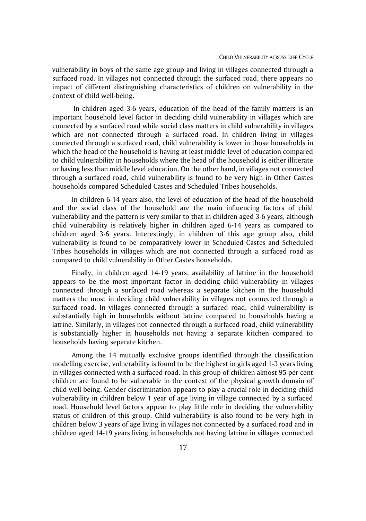vulnerability in boys of the same age group and living in villages connected through a surfaced road. In villages not connected through the surfaced road, there appears no impact of different distinguishing characteristics of children on vulnerability in the context of child well-being.

In children aged 3-6 years, education of the head of the family matters is an important household level factor in deciding child vulnerability in villages which are connected by a surfaced road while social class matters in child vulnerability in villages which are not connected through a surfaced road. In children living in villages connected through a surfaced road, child vulnerability is lower in those households in which the head of the household is having at least middle level of education compared to child vulnerability in households where the head of the household is either illiterate or having less than middle level education. On the other hand, in villages not connected through a surfaced road, child vulnerability is found to be very high in Other Castes households compared Scheduled Castes and Scheduled Tribes households.

In children 6-14 years also, the level of education of the head of the household and the social class of the household are the main influencing factors of child vulnerability and the pattern is very similar to that in children aged 3-6 years, although child vulnerability is relatively higher in children aged 6-14 years as compared to children aged 3-6 years. Interestingly, in children of this age group also, child vulnerability is found to be comparatively lower in Scheduled Castes and Scheduled Tribes households in villages which are not connected through a surfaced road as compared to child vulnerability in Other Castes households.

Finally, in children aged 14-19 years, availability of latrine in the household appears to be the most important factor in deciding child vulnerability in villages connected through a surfaced road whereas a separate kitchen in the household matters the most in deciding child vulnerability in villages not connected through a surfaced road. In villages connected through a surfaced road, child vulnerability is substantially high in households without latrine compared to households having a latrine. Similarly, in villages not connected through a surfaced road, child vulnerability is substantially higher in households not having a separate kitchen compared to households having separate kitchen.

Among the 14 mutually exclusive groups identified through the classification modelling exercise, vulnerability is found to be the highest in girls aged 1-3 years living in villages connected with a surfaced road. In this group of children almost 95 per cent children are found to be vulnerable in the context of the physical growth domain of child well-being. Gender discrimination appears to play a crucial role in deciding child vulnerability in children below 1 year of age living in village connected by a surfaced road. Household level factors appear to play little role in deciding the vulnerability status of children of this group. Child vulnerability is also found to be very high in children below 3 years of age living in villages not connected by a surfaced road and in children aged 14-19 years living in households not having latrine in villages connected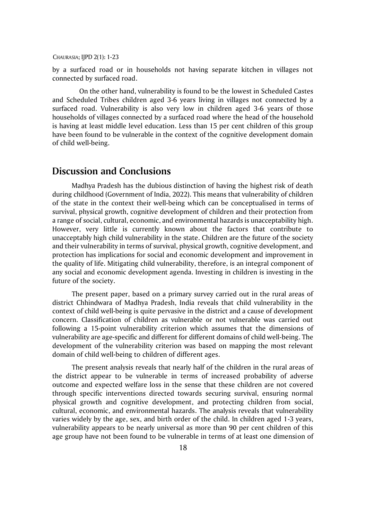by a surfaced road or in households not having separate kitchen in villages not connected by surfaced road.

On the other hand, vulnerability is found to be the lowest in Scheduled Castes and Scheduled Tribes children aged 3-6 years living in villages not connected by a surfaced road. Vulnerability is also very low in children aged 3-6 years of those households of villages connected by a surfaced road where the head of the household is having at least middle level education. Less than 15 per cent children of this group have been found to be vulnerable in the context of the cognitive development domain of child well-being.

### **Discussion and Conclusions**

Madhya Pradesh has the dubious distinction of having the highest risk of death during childhood (Government of India, 2022). This means that vulnerability of children of the state in the context their well-being which can be conceptualised in terms of survival, physical growth, cognitive development of children and their protection from a range of social, cultural, economic, and environmental hazards is unacceptability high. However, very little is currently known about the factors that contribute to unacceptably high child vulnerability in the state. Children are the future of the society and their vulnerability in terms of survival, physical growth, cognitive development, and protection has implications for social and economic development and improvement in the quality of life. Mitigating child vulnerability, therefore, is an integral component of any social and economic development agenda. Investing in children is investing in the future of the society.

The present paper, based on a primary survey carried out in the rural areas of district Chhindwara of Madhya Pradesh, India reveals that child vulnerability in the context of child well-being is quite pervasive in the district and a cause of development concern. Classification of children as vulnerable or not vulnerable was carried out following a 15-point vulnerability criterion which assumes that the dimensions of vulnerability are age-specific and different for different domains of child well-being. The development of the vulnerability criterion was based on mapping the most relevant domain of child well-being to children of different ages.

The present analysis reveals that nearly half of the children in the rural areas of the district appear to be vulnerable in terms of increased probability of adverse outcome and expected welfare loss in the sense that these children are not covered through specific interventions directed towards securing survival, ensuring normal physical growth and cognitive development, and protecting children from social, cultural, economic, and environmental hazards. The analysis reveals that vulnerability varies widely by the age, sex, and birth order of the child. In children aged 1-3 years, vulnerability appears to be nearly universal as more than 90 per cent children of this age group have not been found to be vulnerable in terms of at least one dimension of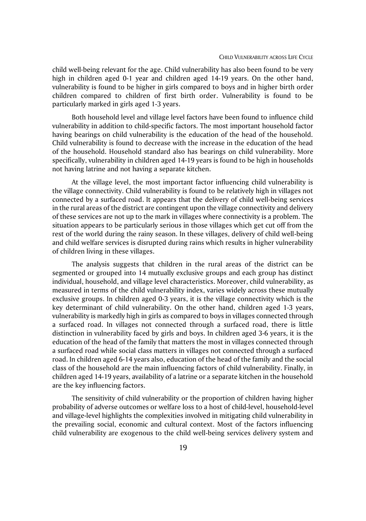child well-being relevant for the age. Child vulnerability has also been found to be very high in children aged 0-1 year and children aged 14-19 years. On the other hand, vulnerability is found to be higher in girls compared to boys and in higher birth order children compared to children of first birth order. Vulnerability is found to be particularly marked in girls aged 1-3 years.

Both household level and village level factors have been found to influence child vulnerability in addition to child-specific factors. The most important household factor having bearings on child vulnerability is the education of the head of the household. Child vulnerability is found to decrease with the increase in the education of the head of the household. Household standard also has bearings on child vulnerability. More specifically, vulnerability in children aged 14-19 years is found to be high in households not having latrine and not having a separate kitchen.

At the village level, the most important factor influencing child vulnerability is the village connectivity. Child vulnerability is found to be relatively high in villages not connected by a surfaced road. It appears that the delivery of child well-being services in the rural areas of the district are contingent upon the village connectivity and delivery of these services are not up to the mark in villages where connectivity is a problem. The situation appears to be particularly serious in those villages which get cut off from the rest of the world during the rainy season. In these villages, delivery of child well-being and child welfare services is disrupted during rains which results in higher vulnerability of children living in these villages.

The analysis suggests that children in the rural areas of the district can be segmented or grouped into 14 mutually exclusive groups and each group has distinct individual, household, and village level characteristics. Moreover, child vulnerability, as measured in terms of the child vulnerability index, varies widely across these mutually exclusive groups. In children aged 0-3 years, it is the village connectivity which is the key determinant of child vulnerability. On the other hand, children aged 1-3 years, vulnerability is markedly high in girls as compared to boys in villages connected through a surfaced road. In villages not connected through a surfaced road, there is little distinction in vulnerability faced by girls and boys. In children aged 3-6 years, it is the education of the head of the family that matters the most in villages connected through a surfaced road while social class matters in villages not connected through a surfaced road. In children aged 6-14 years also, education of the head of the family and the social class of the household are the main influencing factors of child vulnerability. Finally, in children aged 14-19 years, availability of a latrine or a separate kitchen in the household are the key influencing factors.

The sensitivity of child vulnerability or the proportion of children having higher probability of adverse outcomes or welfare loss to a host of child-level, household-level and village-level highlights the complexities involved in mitigating child vulnerability in the prevailing social, economic and cultural context. Most of the factors influencing child vulnerability are exogenous to the child well-being services delivery system and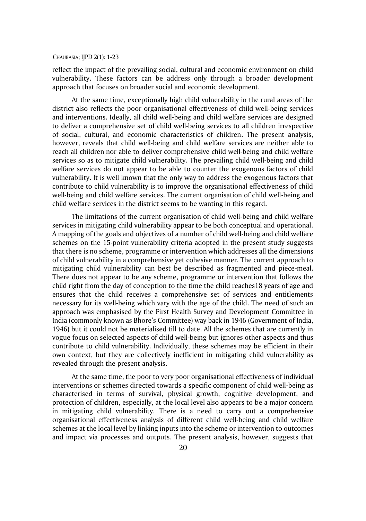reflect the impact of the prevailing social, cultural and economic environment on child vulnerability. These factors can be address only through a broader development approach that focuses on broader social and economic development.

At the same time, exceptionally high child vulnerability in the rural areas of the district also reflects the poor organisational effectiveness of child well-being services and interventions. Ideally, all child well-being and child welfare services are designed to deliver a comprehensive set of child well-being services to all children irrespective of social, cultural, and economic characteristics of children. The present analysis, however, reveals that child well-being and child welfare services are neither able to reach all children nor able to deliver comprehensive child well-being and child welfare services so as to mitigate child vulnerability. The prevailing child well-being and child welfare services do not appear to be able to counter the exogenous factors of child vulnerability. It is well known that the only way to address the exogenous factors that contribute to child vulnerability is to improve the organisational effectiveness of child well-being and child welfare services. The current organisation of child well-being and child welfare services in the district seems to be wanting in this regard.

The limitations of the current organisation of child well-being and child welfare services in mitigating child vulnerability appear to be both conceptual and operational. A mapping of the goals and objectives of a number of child well-being and child welfare schemes on the 15-point vulnerability criteria adopted in the present study suggests that there is no scheme, programme or intervention which addresses all the dimensions of child vulnerability in a comprehensive yet cohesive manner. The current approach to mitigating child vulnerability can best be described as fragmented and piece-meal. There does not appear to be any scheme, programme or intervention that follows the child right from the day of conception to the time the child reaches18 years of age and ensures that the child receives a comprehensive set of services and entitlements necessary for its well-being which vary with the age of the child. The need of such an approach was emphasised by the First Health Survey and Development Committee in India (commonly known as Bhore's Committee) way back in 1946 (Government of India, 1946) but it could not be materialised till to date. All the schemes that are currently in vogue focus on selected aspects of child well-being but ignores other aspects and thus contribute to child vulnerability. Individually, these schemes may be efficient in their own context, but they are collectively inefficient in mitigating child vulnerability as revealed through the present analysis.

At the same time, the poor to very poor organisational effectiveness of individual interventions or schemes directed towards a specific component of child well-being as characterised in terms of survival, physical growth, cognitive development, and protection of children, especially, at the local level also appears to be a major concern in mitigating child vulnerability. There is a need to carry out a comprehensive organisational effectiveness analysis of different child well-being and child welfare schemes at the local level by linking inputs into the scheme or intervention to outcomes and impact via processes and outputs. The present analysis, however, suggests that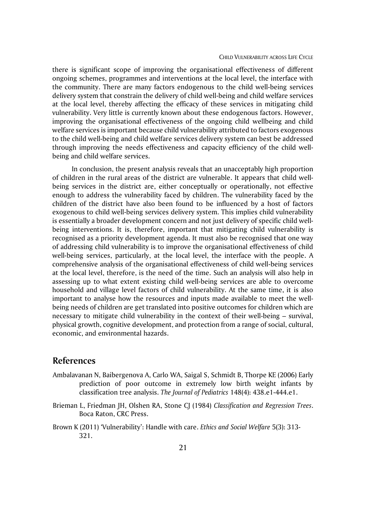#### CHILD VULNERABILITY ACROSS LIFE CYCLE

there is significant scope of improving the organisational effectiveness of different ongoing schemes, programmes and interventions at the local level, the interface with the community. There are many factors endogenous to the child well-being services delivery system that constrain the delivery of child well-being and child welfare services at the local level, thereby affecting the efficacy of these services in mitigating child vulnerability. Very little is currently known about these endogenous factors. However, improving the organisational effectiveness of the ongoing child wellbeing and child welfare services is important because child vulnerability attributed to factors exogenous to the child well-being and child welfare services delivery system can best be addressed through improving the needs effectiveness and capacity efficiency of the child wellbeing and child welfare services.

In conclusion, the present analysis reveals that an unacceptably high proportion of children in the rural areas of the district are vulnerable. It appears that child wellbeing services in the district are, either conceptually or operationally, not effective enough to address the vulnerability faced by children. The vulnerability faced by the children of the district have also been found to be influenced by a host of factors exogenous to child well-being services delivery system. This implies child vulnerability is essentially a broader development concern and not just delivery of specific child wellbeing interventions. It is, therefore, important that mitigating child vulnerability is recognised as a priority development agenda. It must also be recognised that one way of addressing child vulnerability is to improve the organisational effectiveness of child well-being services, particularly, at the local level, the interface with the people. A comprehensive analysis of the organisational effectiveness of child well-being services at the local level, therefore, is the need of the time. Such an analysis will also help in assessing up to what extent existing child well-being services are able to overcome household and village level factors of child vulnerability. At the same time, it is also important to analyse how the resources and inputs made available to meet the wellbeing needs of children are get translated into positive outcomes for children which are necessary to mitigate child vulnerability in the context of their well-being – survival, physical growth, cognitive development, and protection from a range of social, cultural, economic, and environmental hazards.

### **References**

- Ambalavanan N, Baibergenova A, Carlo WA, Saigal S, Schmidt B, Thorpe KE (2006) Early prediction of poor outcome in extremely low birth weight infants by classification tree analysis. *The Journal of Pediatrics* 148(4): 438.e1-444.e1.
- Brieman L, Friedman JH, Olshen RA, Stone CJ (1984) *Classification and Regression Trees*. Boca Raton, CRC Press.
- Brown K (2011) 'Vulnerability': Handle with care. *Ethics and Social Welfare* 5(3): 313- 321.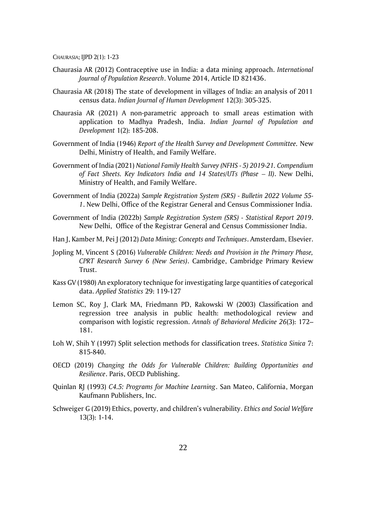- Chaurasia AR (2012) Contraceptive use in India: a data mining approach. *International Journal of Population Research*. Volume 2014, Article ID 821436.
- Chaurasia AR (2018) The state of development in villages of India: an analysis of 2011 census data. *Indian Journal of Human Development* 12(3): 305-325.
- Chaurasia AR (2021) A non-parametric approach to small areas estimation with application to Madhya Pradesh, India. *Indian Journal of Population and Development* 1(2): 185-208.
- Government of India (1946) *Report of the Health Survey and Development Committee.* New Delhi, Ministry of Health, and Family Welfare.
- Government of India (2021) *National Family Health Survey (NFHS - 5) 2019-21. Compendium of Fact Sheets. Key Indicators India and 14 States/UTs (Phase - II). New Delhi,* Ministry of Health, and Family Welfare.
- Government of India (2022a) *Sample Registration System (SRS) - Bulletin 2022 Volume 55- 1*. New Delhi, Office of the Registrar General and Census Commissioner India.
- Government of India (2022b) *Sample Registration System (SRS) - Statistical Report 2019*. New Delhi, Office of the Registrar General and Census Commissioner India.
- Han J, Kamber M, Pei J (2012) *Data Mining: Concepts and Techniques*. Amsterdam, Elsevier.
- Jopling M, Vincent S (2016) *Vulnerable Children: Needs and Provision in the Primary Phase, CPRT Research Survey 6 (New Series)*. Cambridge, Cambridge Primary Review Trust.
- Kass GV (1980) An exploratory technique for investigating large quantities of categorical data. *Applied Statistics* 29: 119-127
- Lemon SC, Roy J, Clark MA, Friedmann PD, Rakowski W (2003) Classification and regression tree analysis in public health: methodological review and comparison with logistic regression. *Annals of Behavioral Medicine 26*(3): 172– 181.
- Loh W, Shih Y (1997) Split selection methods for classification trees. *Statistica Sinica* 7: 815-840.
- OECD (2019) *Changing the Odds for Vulnerable Children: Building Opportunities and Resilience*. Paris, OECD Publishing.
- Quinlan RJ (1993) *C4.5: Programs for Machine Learning*. San Mateo, California, Morgan Kaufmann Publishers, Inc.
- Schweiger G (2019) Ethics, poverty, and children's vulnerability. *Ethics and Social Welfare* 13(3): 1-14.